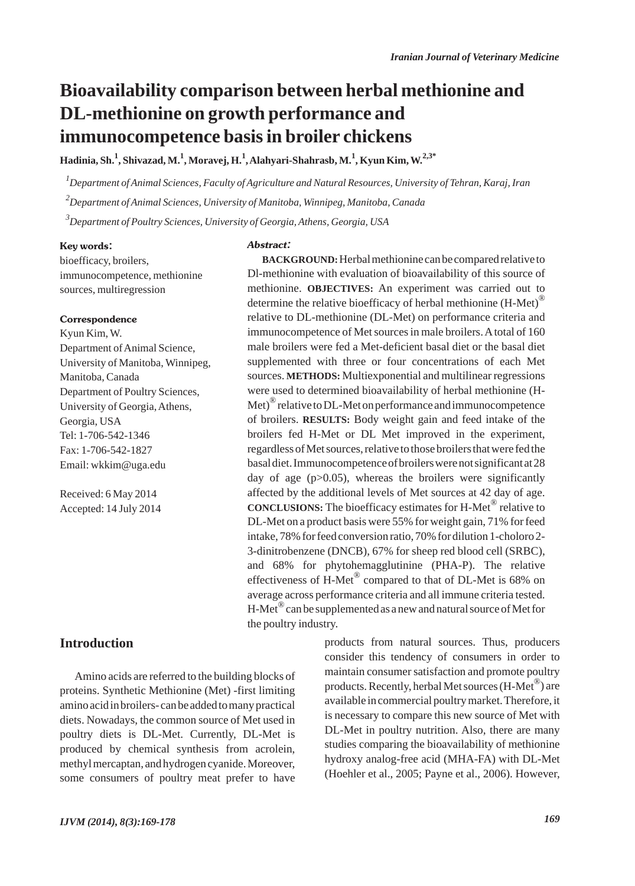# **Bioavailability comparison between herbal methionine and DL-methionine on growth performance and immunocompetence basis in broiler chickens**

**Hadinia, Sh.<sup>1</sup> , Shivazad, M.1 , Moravej, H.<sup>1</sup> , Alahyari-Shahrasb, M.<sup>1</sup> , Kyun Kim, W.2,3\***

*1 Department of Animal Sciences, Faculty of Agriculture and Natural Resources, University of Tehran, Karaj, Iran 2 Department of Animal Sciences, University of Manitoba, Winnipeg, Manitoba, Canada 3 Department of Poultry Sciences, University of Georgia, Athens, Georgia, USA*

#### Key words:

bioefficacy, broilers, immunocompetence, methionine sources, multiregression

#### **Correspondence**

Kyun Kim, W. Department of Animal Science, University of Manitoba, Winnipeg, Manitoba, Canada Department of Poultry Sciences, University of Georgia, Athens, Georgia, USA Tel: 1-706-542-1346 Fax: 1-706-542-1827 Email: wkkim@uga.edu

Received: 6 May 2014 Accepted: 14 July 2014

# **Introduction**

Amino acids are referred to the building blocks of proteins. Synthetic Methionine (Met) -first limiting amino acid in broilers- can be added to many practical diets. Nowadays, the common source of Met used in poultry diets is DL-Met. Currently, DL-Met is produced by chemical synthesis from acrolein, methyl mercaptan, and hydrogen cyanide. Moreover, some consumers of poultry meat prefer to have

#### Abstract:

**BACKGROUND:**Herbal methionine can be compared relative to Dl-methionine with evaluation of bioavailability of this source of methionine. **OBJECTIVES:** An experiment was carried out to determine the relative bioefficacy of herbal methionine  $(H-Met)^{(0)}$ relative to DL-methionine (DL-Met) on performance criteria and immunocompetence of Met sources in male broilers. Atotal of 160 male broilers were fed a Met-deficient basal diet or the basal diet supplemented with three or four concentrations of each Met sources. **METHODS:** Multiexponential and multilinear regressions were used to determined bioavailability of herbal methionine (H-Met) $^{\circledR}$  relative to DL-Met on performance and immunocompetence of broilers. **RESULTS:** Body weight gain and feed intake of the broilers fed H-Met or DL Met improved in the experiment, regardless of Met sources, relative to those broilers that were fed the basal diet. Immunocompetence of broilers were not significant at 28 day of age  $(p>0.05)$ , whereas the broilers were significantly affected by the additional levels of Met sources at 42 day of age. **CONCLUSIONS:** The bioefficacy estimates for H-Met® relative to DL-Met on a product basis were 55% for weight gain, 71% for feed intake, 78% for feed conversion ratio, 70% for dilution 1-choloro 2- 3-dinitrobenzene (DNCB), 67% for sheep red blood cell (SRBC), and 68% for phytohemagglutinine (PHA-P). The relative effectiveness of H-Met<sup>®</sup> compared to that of DL-Met is 68% on average across performance criteria and all immune criteria tested.  $H-Met^{\circledR}$  can be supplemented as a new and natural source of Met for the poultry industry.

> products from natural sources. Thus, producers consider this tendency of consumers in order to maintain consumer satisfaction and promote poultry products. Recently, herbal Met sources (H-Met®) are available in commercial poultry market. Therefore, it is necessary to compare this new source of Met with DL-Met in poultry nutrition. Also, there are many studies comparing the bioavailability of methionine hydroxy analog-free acid (MHA-FA) with DL-Met (Hoehler et al., 2005; Payne et al., 2006). However,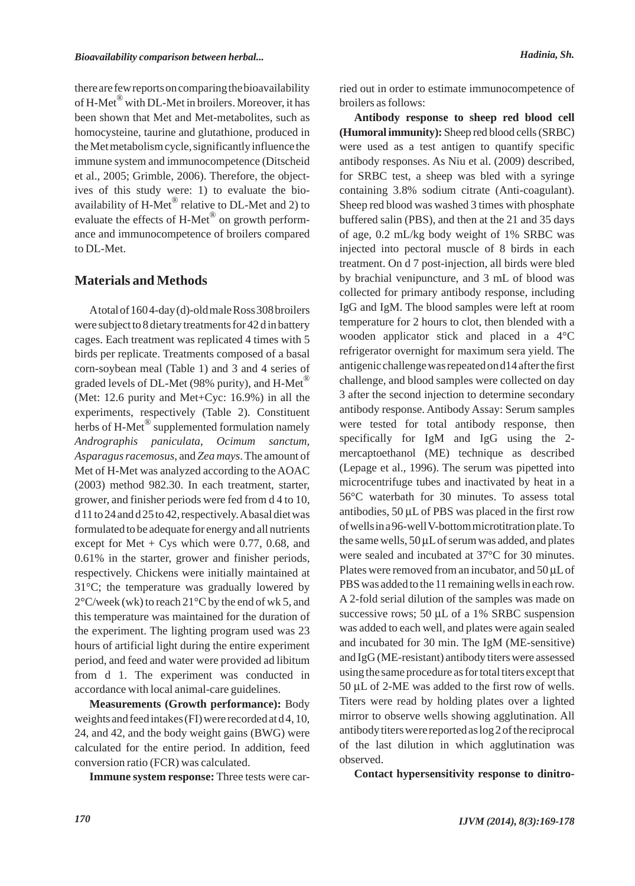there are few reports on comparing the bioavailability of H-Met<sup>®</sup> with DL-Met in broilers. Moreover, it has been shown that Met and Met-metabolites, such as homocysteine, taurine and glutathione, produced in the Met metabolism cycle, significantly influence the immune system and immunocompetence (Ditscheid et al., 2005; Grimble, 2006). Therefore, the objectives of this study were: 1) to evaluate the bioavailability of  $H$ -Met<sup>®</sup> relative to DL-Met and 2) to evaluate the effects of H-Met® on growth performance and immunocompetence of broilers compared to DL-Met.

# **Materials and Methods**

Atotal of 160 4-day (d)-old male Ross 308 broilers were subject to 8 dietary treatments for 42 d in battery cages. Each treatment was replicated 4 times with 5 birds per replicate. Treatments composed of a basal corn-soybean meal (Table 1) and 3 and 4 series of graded levels of DL-Met (98% purity), and H-Met<sup>®</sup> (Met: 12.6 purity and Met+Cyc: 16.9%) in all the experiments, respectively (Table 2). Constituent herbs of H-Met<sup>®</sup> supplemented formulation namely *Andrographis paniculata*, *Ocimum sanctum*, *Asparagus racemosus*, and *Zea mays*. The amount of Met of H-Met was analyzed according to the AOAC (2003) method 982.30. In each treatment, starter, grower, and finisher periods were fed from d 4 to 10, d 11 to 24 and d 25 to 42, respectively. Abasal diet was formulated to be adequate for energy and all nutrients except for Met  $+$  Cys which were 0.77, 0.68, and 0.61% in the starter, grower and finisher periods, respectively. Chickens were initially maintained at 31°C; the temperature was gradually lowered by  $2^{\circ}$ C/week (wk) to reach  $21^{\circ}$ C by the end of wk 5, and this temperature was maintained for the duration of the experiment. The lighting program used was 23 hours of artificial light during the entire experiment period, and feed and water were provided ad libitum from d 1. The experiment was conducted in accordance with local animal-care guidelines.

**Measurements (Growth performance):** Body weights and feed intakes (FI) were recorded at d 4, 10, 24, and 42, and the body weight gains (BWG) were calculated for the entire period. In addition, feed conversion ratio (FCR) was calculated.

**Immune system response:** Three tests were car-

ried out in order to estimate immunocompetence of broilers as follows:

**Antibody response to sheep red blood cell (Humoral immunity):** Sheep red blood cells (SRBC) were used as a test antigen to quantify specific antibody responses. As Niu et al. (2009) described, for SRBC test, a sheep was bled with a syringe containing 3.8% sodium citrate (Anti-coagulant). Sheep red blood was washed 3 times with phosphate buffered salin (PBS), and then at the 21 and 35 days of age, 0.2 mL/kg body weight of 1% SRBC was injected into pectoral muscle of 8 birds in each treatment. On d 7 post-injection, all birds were bled by brachial venipuncture, and 3 mL of blood was collected for primary antibody response, including IgG and IgM. The blood samples were left at room temperature for 2 hours to clot, then blended with a wooden applicator stick and placed in a 4°C refrigerator overnight for maximum sera yield. The antigenic challenge was repeated on d14 after the first challenge, and blood samples were collected on day 3 after the second injection to determine secondary antibody response. Antibody Assay: Serum samples were tested for total antibody response, then specifically for IgM and IgG using the 2 mercaptoethanol (ME) technique as described (Lepage et al., 1996). The serum was pipetted into microcentrifuge tubes and inactivated by heat in a 56°C waterbath for 30 minutes. To assess total antibodies, 50 μL of PBS was placed in the first row of wells in a 96-well V-bottom microtitration plate. To the same wells, 50 μLof serum was added, and plates were sealed and incubated at 37°C for 30 minutes. Plates were removed from an incubator, and 50 μLof PBS was added to the 11 remaining wells in each row. A 2-fold serial dilution of the samples was made on successive rows; 50 μL of a 1% SRBC suspension was added to each well, and plates were again sealed and incubated for 30 min. The IgM (ME-sensitive) and IgG (ME-resistant) antibody titers were assessed using the same procedure as for total titers except that 50 μL of 2-ME was added to the first row of wells. Titers were read by holding plates over a lighted mirror to observe wells showing agglutination. All antibody titers were reported as log 2 of the reciprocal of the last dilution in which agglutination was observed.

**Contact hypersensitivity response to dinitro-**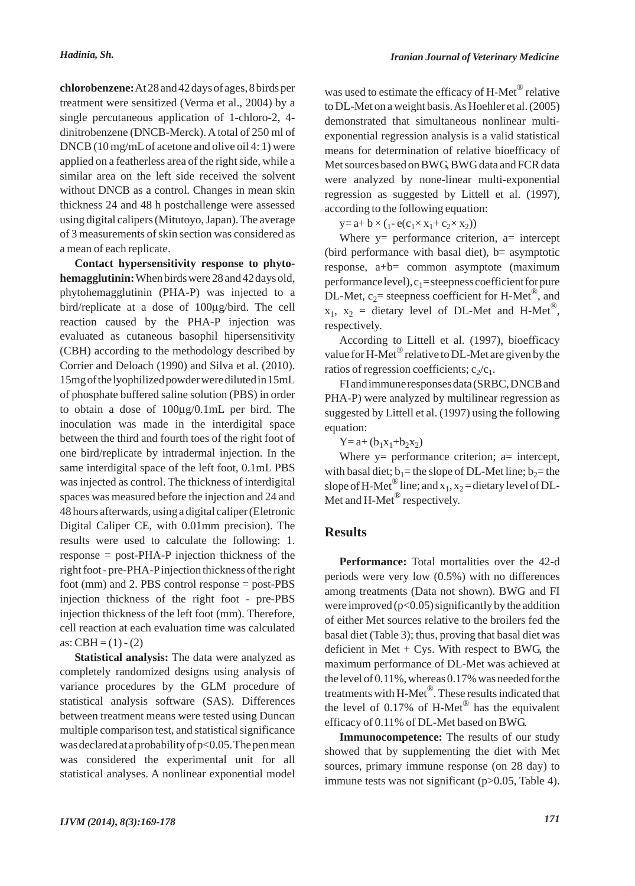**chlorobenzene:**At 28 and 42 days of ages, 8 birds per treatment were sensitized (Verma et al., 2004) by a single percutaneous application of 1-chloro-2, 4 dinitrobenzene (DNCB-Merck). A total of 250 ml of DNCB (10 mg/mLof acetone and olive oil 4: 1) were applied on a featherless area of the right side, while a similar area on the left side received the solvent without DNCB as a control. Changes in mean skin thickness 24 and 48 h postchallenge were assessed using digital calipers (Mitutoyo, Japan). The average of 3 measurements of skin section was considered as a mean of each replicate.

**Contact hypersensitivity response to phytohemagglutinin:**When birds were 28 and 42 days old, phytohemagglutinin (PHA-P) was injected to a bird/replicate at a dose of 100μg/bird. The cell reaction caused by the PHA-P injection was evaluated as cutaneous basophil hipersensitivity (CBH) according to the methodology described by Corrier and Deloach (1990) and Silva et al. (2010). 15mg of the lyophilized powder were diluted in 15mL of phosphate buffered saline solution (PBS) in order to obtain a dose of 100μg/0.1mL per bird. The inoculation was made in the interdigital space between the third and fourth toes of the right foot of one bird/replicate by intradermal injection. In the same interdigital space of the left foot, 0.1mL PBS was injected as control. The thickness of interdigital spaces was measured before the injection and 24 and 48 hours afterwards, using a digital caliper (Eletronic Digital Caliper CE, with 0.01mm precision). The results were used to calculate the following: 1. response = post-PHA-P injection thickness of the right foot - pre-PHA-Pinjection thickness of the right foot (mm) and 2. PBS control response = post-PBS injection thickness of the right foot - pre-PBS injection thickness of the left foot (mm). Therefore, cell reaction at each evaluation time was calculated as:  $CBH = (1) - (2)$ 

**Statistical analysis:** The data were analyzed as completely randomized designs using analysis of variance procedures by the GLM procedure of statistical analysis software (SAS). Differences between treatment means were tested using Duncan multiple comparison test, and statistical significance was declared at a probability of p<0.05. The pen mean was considered the experimental unit for all statistical analyses. A nonlinear exponential model was used to estimate the efficacy of H-Met® relative to DL-Met on a weight basis. As Hoehler et al. (2005) demonstrated that simultaneous nonlinear multiexponential regression analysis is a valid statistical means for determination of relative bioefficacy of Met sources based on BWG, BWG data and FCR data were analyzed by none-linear multi-exponential regression as suggested by Littell et al. (1997), according to the following equation:

 $y = a + b \times (1 - e(c_1 \times x_1 + c_2 \times x_2))$ 

Where  $y =$  performance criterion,  $a =$  intercept (bird performance with basal diet),  $b=$  asymptotic response, a+b= common asymptote (maximum performance level),  $c_1$ = steepness coefficient for pure DL-Met,  $c_2$ = steepness coefficient for H-Met<sup>®</sup>, and  $x_1$ ,  $x_2$  = dietary level of DL-Met and H-Met<sup>®</sup>, respectively.

According to Littell et al. (1997), bioefficacy value for H-Met<sup>®</sup> relative to DL-Met are given by the ratios of regression coefficients;  $c_2/c_1$ .

FI and immune responses data (SRBC, DNCB and PHA-P) were analyzed by multilinear regression as suggested by Littell et al. (1997) using the following equation:

 $Y = a + (b_1x_1 + b_2x_2)$ 

Where  $y =$  performance criterion; a= intercept, with basal diet;  $b_1$  = the slope of DL-Met line;  $b_2$  = the slope of H-Met<sup>®</sup> line; and  $x_1, x_2$  = dietary level of DL-Met and  $H$ -Met<sup>®</sup> respectively.

### **Results**

**Performance:** Total mortalities over the 42-d periods were very low (0.5%) with no differences among treatments (Data not shown). BWG and FI were improved  $(p<0.05)$  significantly by the addition of either Met sources relative to the broilers fed the basal diet (Table 3); thus, proving that basal diet was deficient in Met  $+$  Cys. With respect to BWG, the maximum performance of DL-Met was achieved at the level of 0.11%, whereas 0.17% was needed for the treatments with H-Met®. These results indicated that the level of 0.17% of H-Met<sup>®</sup> has the equivalent efficacy of 0.11% of DL-Met based on BWG.

**Immunocompetence:** The results of our study showed that by supplementing the diet with Met sources, primary immune response (on 28 day) to immune tests was not significant (p>0.05, Table 4).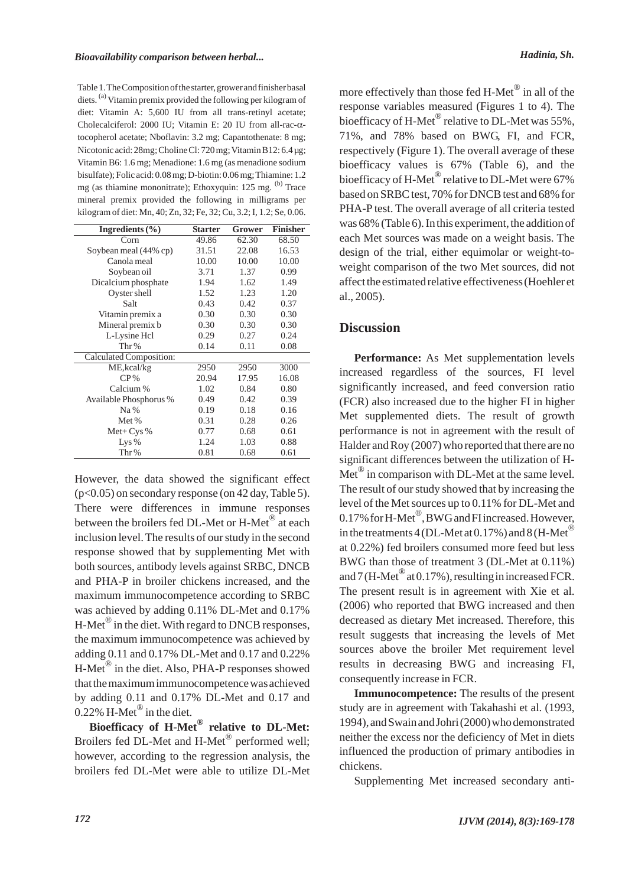Table 1. The Composition of the starter, grower and finisher basal diets. <sup>(a)</sup> Vitamin premix provided the following per kilogram of diet: Vitamin A: 5,600 IU from all trans-retinyl acetate; Cholecalciferol: 2000 IU; Vitamin E: 20 IU from all-rac-αtocopherol acetate; Nboflavin: 3.2 mg; Capantothenate: 8 mg; Nicotonic acid: 28mg; Choline Cl: 720 mg; Vitamin B12: 6.4 µg; Vitamin B6: 1.6 mg; Menadione: 1.6 mg (as menadione sodium bisulfate); Folic acid: 0.08 mg; D-biotin: 0.06 mg; Thiamine: 1.2 mg (as thiamine mononitrate); Ethoxyquin: 125 mg. <sup>(b)</sup> Trace mineral premix provided the following in milligrams per kilogram of diet: Mn, 40; Zn, 32; Fe, 32; Cu, 3.2; I, 1.2; Se, 0.06.

| Ingredients $(\% )$      | <b>Starter</b> | Grower | <b>Finisher</b> |
|--------------------------|----------------|--------|-----------------|
| $\overline{\text{Corn}}$ | 49.86          | 62.30  | 68.50           |
| Soybean meal (44% cp)    | 31.51          | 22.08  | 16.53           |
| Canola meal              | 10.00          | 10.00  | 10.00           |
| Soybean oil              | 3.71           | 1.37   | 0.99            |
| Dicalcium phosphate      | 1.94           | 1.62   | 1.49            |
| Oyster shell             | 1.52           | 1.23   | 1.20            |
| Salt                     | 0.43           | 0.42   | 0.37            |
| Vitamin premix a         | 0.30           | 0.30   | 0.30            |
| Mineral premix b         | 0.30           | 0.30   | 0.30            |
| L-Lysine Hcl             | 0.29           | 0.27   | 0.24            |
| Thr%                     | 0.14           | 0.11   | 0.08            |
| Calculated Composition:  |                |        |                 |
| ME, kcal/kg              | 2950           | 2950   | 3000            |
| $CP\%$                   | 20.94          | 17.95  | 16.08           |
| Calcium %                | 1.02           | 0.84   | 0.80            |
| Available Phosphorus %   | 0.49           | 0.42   | 0.39            |
| Na%                      | 0.19           | 0.18   | 0.16            |
| Met %                    | 0.31           | 0.28   | 0.26            |
| $Met+Cys %$              | 0.77           | 0.68   | 0.61            |
| Lys $%$                  | 1.24           | 1.03   | 0.88            |
| Thr%                     | 0.81           | 0.68   | 0.61            |

However, the data showed the significant effect (p<0.05) on secondary response (on 42 day, Table 5). There were differences in immune responses between the broilers fed DL-Met or H-Met<sup>®</sup> at each inclusion level. The results of our study in the second response showed that by supplementing Met with both sources, antibody levels against SRBC, DNCB and PHA-P in broiler chickens increased, and the maximum immunocompetence according to SRBC was achieved by adding 0.11% DL-Met and 0.17%  $H-Met^{\circledR}$  in the diet. With regard to DNCB responses, the maximum immunocompetence was achieved by adding 0.11 and 0.17% DL-Met and 0.17 and 0.22% H-Met® in the diet. Also, PHA-P responses showed that the maximum immunocompetence was achieved by adding 0.11 and 0.17% DL-Met and 0.17 and  $0.22\%$  H-Met<sup>®</sup> in the diet.

**Bioefficacy of H-Met® relative to DL-Met:** Broilers fed DL-Met and H-Met<sup>®</sup> performed well; however, according to the regression analysis, the broilers fed DL-Met were able to utilize DL-Met

more effectively than those fed H-Met $^\circledR$  in all of the response variables measured (Figures 1 to 4). The bioefficacy of H-Met<sup>®</sup> relative to DL-Met was 55%, 71%, and 78% based on BWG, FI, and FCR, respectively (Figure 1). The overall average of these bioefficacy values is 67% (Table 6), and the bioefficacy of H-Met<sup>®</sup> relative to DL-Met were 67% based on SRBC test, 70% for DNCB test and 68% for PHA-P test. The overall average of all criteria tested was 68% (Table 6). In this experiment, the addition of each Met sources was made on a weight basis. The design of the trial, either equimolar or weight-toweight comparison of the two Met sources, did not affect the estimated relative effectiveness (Hoehler et al., 2005).

### **Discussion**

**Performance:** As Met supplementation levels increased regardless of the sources, FI level significantly increased, and feed conversion ratio (FCR) also increased due to the higher FI in higher Met supplemented diets. The result of growth performance is not in agreement with the result of Halder and Roy (2007) who reported that there are no significant differences between the utilization of H- $Met^{\omega}$  in comparison with DL-Met at the same level. The result of our study showed that by increasing the level of the Met sources up to 0.11% for DL-Met and 0.17% for H-Met<sup>®</sup>, BWG and FI increased. However, in the treatments 4 (DL-Met at 0.17%) and 8 (H-Met<sup>®</sup> at 0.22%) fed broilers consumed more feed but less BWG than those of treatment 3 (DL-Met at 0.11%) and  $7$  (H-Met<sup>®</sup> at 0.17%), resulting in increased FCR. The present result is in agreement with Xie et al. (2006) who reported that BWG increased and then decreased as dietary Met increased. Therefore, this result suggests that increasing the levels of Met sources above the broiler Met requirement level results in decreasing BWG and increasing FI, consequently increase in FCR.

**Immunocompetence:** The results of the present study are in agreement with Takahashi et al. (1993, 1994), and Swain and Johri (2000) who demonstrated neither the excess nor the deficiency of Met in diets influenced the production of primary antibodies in chickens.

Supplementing Met increased secondary anti-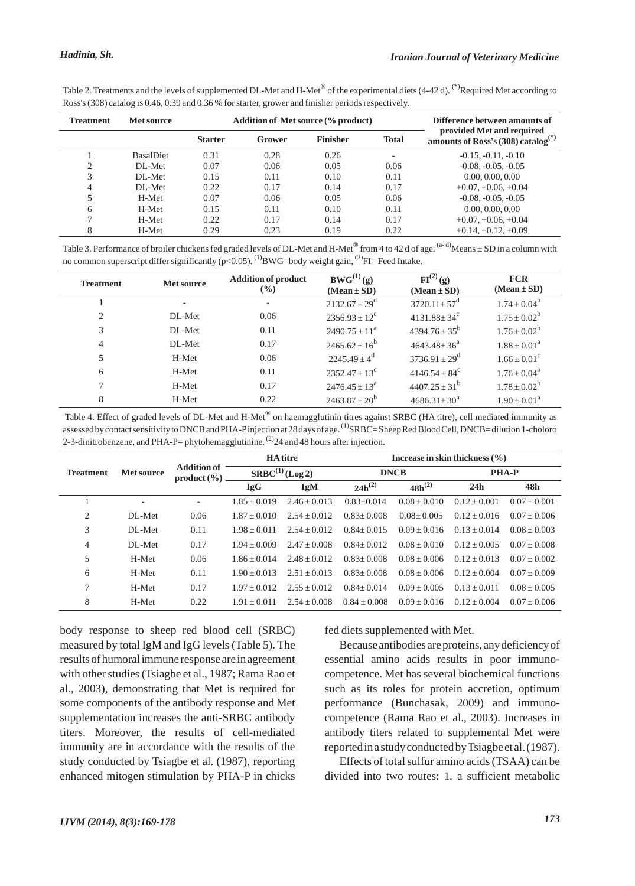| <b>Treatment</b> | Met source | <b>Addition of Met source (% product)</b>                                                                                                                     | Difference between amounts of |
|------------------|------------|---------------------------------------------------------------------------------------------------------------------------------------------------------------|-------------------------------|
|                  |            | Ross's (308) catalog is 0.46, 0.39 and 0.36 % for starter, grower and finisher periods respectively.                                                          |                               |
|                  |            | Table 2. Treatments and the levels of supplemented DL-Met and H-Met <sup>®</sup> of the experimental diets (4-42 d). <sup>(*)</sup> Required Met according to |                               |

| <b>Addition of Met source (% product)</b><br><b>Treatment</b><br><b>Met source</b> |                  |                |        |                 |                          | Difference between amounts of                                               |
|------------------------------------------------------------------------------------|------------------|----------------|--------|-----------------|--------------------------|-----------------------------------------------------------------------------|
|                                                                                    |                  | <b>Starter</b> | Grower | <b>Finisher</b> | <b>Total</b>             | provided Met and required<br>amounts of Ross's (308) catalog <sup>(*)</sup> |
|                                                                                    | <b>BasalDiet</b> | 0.31           | 0.28   | 0.26            | $\overline{\phantom{0}}$ | $-0.15, -0.11, -0.10$                                                       |
| $\bigcirc$<br>∠                                                                    | DL-Met           | 0.07           | 0.06   | 0.05            | 0.06                     | $-0.08, -0.05, -0.05$                                                       |
| 3                                                                                  | DL-Met           | 0.15           | 0.11   | 0.10            | 0.11                     | 0.00, 0.00, 0.00                                                            |
| 4                                                                                  | DL-Met           | 0.22           | 0.17   | 0.14            | 0.17                     | $+0.07, +0.06, +0.04$                                                       |
| 5                                                                                  | H-Met            | 0.07           | 0.06   | 0.05            | 0.06                     | $-0.08, -0.05, -0.05$                                                       |
| 6                                                                                  | H-Met            | 0.15           | 0.11   | 0.10            | 0.11                     | 0.00, 0.00, 0.00                                                            |
|                                                                                    | H-Met            | 0.22           | 0.17   | 0.14            | 0.17                     | $+0.07, +0.06, +0.04$                                                       |
| 8                                                                                  | H-Met            | 0.29           | 0.23   | 0.19            | 0.22                     | $+0.14, +0.12, +0.09$                                                       |

Table 3. Performance of broiler chickens fed graded levels of DL-Met and H-Met<sup>®</sup> from 4 to 42 d of age.  $(a-d)$ Means  $\pm$  SD in a column with no common superscript differ significantly ( $p<0.05$ ). <sup>(1)</sup>BWG=body weight gain, <sup>(2)</sup>FI= Feed Intake.

| <b>Treatment</b> | <b>Met source</b>        | <b>Addition of product</b><br>$\frac{6}{2}$ | $BWG^{(1)}(g)$<br>$(Mean \pm SD)$ | $\overline{\mathrm{FI}^{(2)}(\mathrm{g})}$<br>$(Mean \pm SD)$ | <b>FCR</b><br>$(Mean \pm SD)$ |
|------------------|--------------------------|---------------------------------------------|-----------------------------------|---------------------------------------------------------------|-------------------------------|
|                  | $\overline{\phantom{a}}$ |                                             | $2132.67 + 29^{\circ}$            | $3720.11 \pm 57^{\circ}$                                      | $1.74 \pm 0.04^b$             |
| 2                | DL-Met                   | 0.06                                        | $2356.93 \pm 12^{\circ}$          | $4131.88 \pm 34^c$                                            | $1.75 \pm 0.02^b$             |
| 3                | DL-Met                   | 0.11                                        | $2490.75 \pm 11^{\text{a}}$       | $4394.76 \pm 35^{\rm b}$                                      | $1.76 \pm 0.02^b$             |
| 4                | DL-Met                   | 0.17                                        | $2465.62 \pm 16^b$                | $4643.48 \pm 36^{\circ}$                                      | $1.88 \pm 0.01^a$             |
| 5                | H-Met                    | 0.06                                        | $2245.49 \pm 4^d$                 | $3736.91 \pm 29^{\rm d}$                                      | $1.66 + 0.01^{\circ}$         |
| 6                | H-Met                    | 0.11                                        | $2352.47 + 13^{\circ}$            | $4146.54 + 84^{\circ}$                                        | $1.76 + 0.04^b$               |
|                  | H-Met                    | 0.17                                        | $2476.45 \pm 13^{\circ}$          | $4407.25 \pm 31^b$                                            | $1.78 \pm 0.02^b$             |
| 8                | H-Met                    | 0.22                                        | $2463.87 \pm 20^b$                | $4686.31 \pm 30^{\circ}$                                      | $1.90 \pm 0.01^{\text{a}}$    |

Table 4. Effect of graded levels of DL-Met and H-Met® on haemagglutinin titres against SRBC (HA titre), cell mediated immunity as assessed by contact sensitivity to DNCB and PHA-Pinjection at 28 days of age. <sup>(1)</sup>SRBC= Sheep Red Blood Cell, DNCB= dilution 1-choloro 2-3-dinitrobenzene, and PHA-P= phytohemagglutinine.  $^{(2)}$ 24 and 48 hours after injection.

|                  |            |                                       |                      | <b>HA</b> titre | Increase in skin thickness $(\% )$ |                |                  |                |  |  |
|------------------|------------|---------------------------------------|----------------------|-----------------|------------------------------------|----------------|------------------|----------------|--|--|
| <b>Treatment</b> | Met source | <b>Addition of</b><br>$product (\% )$ | $SRBC^{(1)}$ (Log 2) |                 | <b>DNCB</b>                        |                | <b>PHA-P</b>     |                |  |  |
|                  |            |                                       | <b>IgG</b>           | <b>IgM</b>      | $24h^{(2)}$                        | $48h^{(2)}$    | 24h              | 48h            |  |  |
|                  |            | $\overline{\phantom{a}}$              | $1.85 + 0.019$       | $2.46 + 0.013$  | $0.83 \pm 0.014$                   | $0.08 + 0.010$ | $0.12 + 0.001$   | $0.07 + 0.001$ |  |  |
| 2                | DL-Met     | 0.06                                  | $1.87 + 0.010$       | $2.54 + 0.012$  | $0.83 + 0.008$                     | $0.08 + 0.005$ | $0.12 + 0.016$   | $0.07 + 0.006$ |  |  |
| 3                | DL-Met     | 0.11                                  | $1.98 + 0.011$       | $2.54 + 0.012$  | $0.84 + 0.015$                     | $0.09 + 0.016$ | $0.13 + 0.014$   | $0.08 + 0.003$ |  |  |
| 4                | DL-Met     | 0.17                                  | $1.94 + 0.009$       | $2.47 + 0.008$  | $0.84 + 0.012$                     | $0.08 + 0.010$ | $0.12 + 0.005$   | $0.07 + 0.008$ |  |  |
| 5                | H-Met      | 0.06                                  | $1.86 + 0.014$       | $2.48 + 0.012$  | $0.83 + 0.008$                     | $0.08 + 0.006$ | $0.12 + 0.013$   | $0.07 + 0.002$ |  |  |
| 6                | H-Met      | 0.11                                  | $1.90 + 0.013$       | $2.51 + 0.013$  | $0.83 + 0.008$                     | $0.08 + 0.006$ | $0.12 \pm 0.004$ | $0.07 + 0.009$ |  |  |
| 7                | H-Met      | 0.17                                  | $1.97 + 0.012$       | $2.55 + 0.012$  | $0.84 + 0.014$                     | $0.09 + 0.005$ | $0.13 + 0.011$   | $0.08 + 0.005$ |  |  |
| 8                | H-Met      | 0.22                                  | $1.91 + 0.011$       | $2.54 + 0.008$  | $0.84 + 0.008$                     | $0.09 + 0.016$ | $0.12 + 0.004$   | $0.07 + 0.006$ |  |  |

body response to sheep red blood cell (SRBC) measured by total IgM and IgG levels (Table 5). The results of humoral immune response are in agreement with other studies (Tsiagbe et al., 1987; Rama Rao et al., 2003), demonstrating that Met is required for some components of the antibody response and Met supplementation increases the anti-SRBC antibody titers. Moreover, the results of cell-mediated immunity are in accordance with the results of the study conducted by Tsiagbe et al. (1987), reporting enhanced mitogen stimulation by PHA-P in chicks

fed diets supplemented with Met.

Because antibodies are proteins, any deficiency of essential amino acids results in poor immunocompetence. Met has several biochemical functions such as its roles for protein accretion, optimum performance (Bunchasak, 2009) and immunocompetence (Rama Rao et al., 2003). Increases in antibody titers related to supplemental Met were reported in a study conducted by Tsiagbe et al. (1987).

Effects of total sulfur amino acids (TSAA) can be divided into two routes: 1. a sufficient metabolic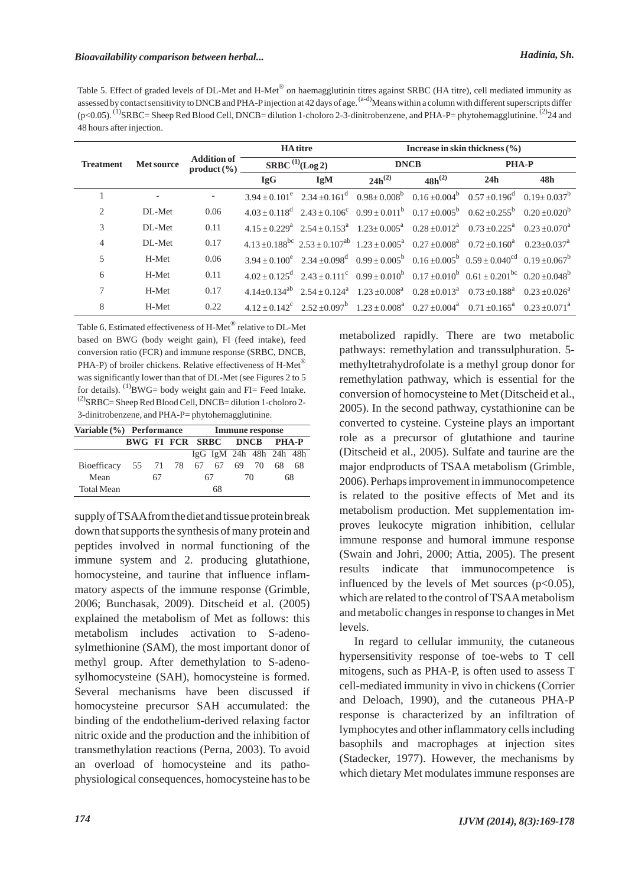Table 5. Effect of graded levels of DL-Met and H-Met® on haemagglutinin titres against SRBC (HA titre), cell mediated immunity as assessed by contact sensitivity to DNCB and PHA-Pinjection at 42 days of age.<sup>(a-d)</sup>Means within a column with different superscripts differ (p<0.05). <sup>(1)</sup>SRBC= Sheep Red Blood Cell, DNCB= dilution 1-choloro 2-3-dinitrobenzene, and PHA-P= phytohemagglutinine. <sup>(2)</sup>24 and 48 hours after injection.

|                  |                   |                                   |                                    | <b>HA</b> titre | Increase in skin thickness $(\% )$ |             |                                                                                                                                                                                       |     |  |
|------------------|-------------------|-----------------------------------|------------------------------------|-----------------|------------------------------------|-------------|---------------------------------------------------------------------------------------------------------------------------------------------------------------------------------------|-----|--|
| <b>Treatment</b> | <b>Met source</b> | <b>Addition of</b><br>product (%) | <b>SRBC</b> <sup>(1)</sup> (Log 2) |                 | <b>DNCB</b>                        |             | <b>PHA-P</b>                                                                                                                                                                          |     |  |
|                  |                   |                                   | <b>IgG</b>                         | <b>IgM</b>      | $24h^{(2)}$                        | $48h^{(2)}$ | 24h                                                                                                                                                                                   | 48h |  |
|                  |                   |                                   |                                    |                 |                                    |             | $3.94 \pm 0.101^e$ $2.34 \pm 0.161^d$ $0.98 \pm 0.008^b$ $0.16 \pm 0.004^b$ $0.57 \pm 0.196^d$ $0.19 \pm 0.037^b$                                                                     |     |  |
| 2                | DL-Met            | 0.06                              |                                    |                 |                                    |             | $4.03 \pm 0.118^d$ $2.43 \pm 0.106^c$ $0.99 \pm 0.011^b$ $0.17 \pm 0.005^b$ $0.62 \pm 0.255^b$ $0.20 \pm 0.020^b$                                                                     |     |  |
| 3                | DL-Met            | 0.11                              |                                    |                 |                                    |             | $4.15 \pm 0.229^a$ $2.54 \pm 0.153^a$ $1.23 \pm 0.005^a$ $0.28 \pm 0.012^a$ $0.73 \pm 0.225^a$ $0.23 \pm 0.070^a$                                                                     |     |  |
| $\overline{4}$   | DL-Met            | 0.17                              |                                    |                 |                                    |             | $4.13 \pm 0.188$ <sup>bc</sup> $2.53 \pm 0.107$ <sup>ab</sup> $1.23 \pm 0.005$ <sup>a</sup> $0.27 \pm 0.008$ <sup>a</sup> $0.72 \pm 0.160$ <sup>a</sup> $0.23 \pm 0.037$ <sup>a</sup> |     |  |
| 5                | H-Met             | 0.06                              |                                    |                 |                                    |             | $3.94 + 0.100^e$ $2.34 + 0.098^d$ $0.99 + 0.005^b$ $0.16 + 0.005^b$ $0.59 + 0.040^{cd}$ $0.19 + 0.067^b$                                                                              |     |  |
| 6                | H-Met             | 0.11                              |                                    |                 |                                    |             | $4.02 + 0.125^d$ $2.43 + 0.111^c$ $0.99 + 0.010^b$ $0.17 + 0.010^b$ $0.61 + 0.201^{bc}$ $0.20 + 0.048^b$                                                                              |     |  |
| $\tau$           | H-Met             | 0.17                              |                                    |                 |                                    |             | $4.14+0.134^{ab}$ $2.54+0.124^{a}$ $1.23+0.008^{a}$ $0.28+0.013^{a}$ $0.73+0.188^{a}$ $0.23+0.026^{a}$                                                                                |     |  |
| 8                | H-Met             | 0.22                              |                                    |                 |                                    |             | $4.12 \pm 0.142^c$ $2.52 \pm 0.097^b$ $1.23 \pm 0.008^a$ $0.27 \pm 0.004^a$ $0.71 \pm 0.165^a$ $0.23 \pm 0.071^a$                                                                     |     |  |

Table 6. Estimated effectiveness of H-Met® relative to DL-Met based on BWG (body weight gain), FI (feed intake), feed conversion ratio (FCR) and immune response (SRBC, DNCB, PHA-P) of broiler chickens. Relative effectiveness of H-Met® was significantly lower than that of DL-Met (see Figures 2 to 5 for details).  $^{(1)}$ BWG= body weight gain and FI= Feed Intake.  $^{(2)}$ SRBC= Sheep Red Blood Cell, DNCB= dilution 1-choloro 2-3-dinitrobenzene, and PHA-P= phytohemagglutinine.

| Variable (%) Performance |                |                            |  | <b>Immune response</b> |                         |  |       |     |    |
|--------------------------|----------------|----------------------------|--|------------------------|-------------------------|--|-------|-----|----|
|                          |                | BWG FI FCR SRBC DNCB PHA-P |  |                        |                         |  |       |     |    |
|                          |                |                            |  |                        | IgG IgM 24h 48h 24h 48h |  |       |     |    |
| <b>Bioefficacy</b>       | 55 71 78 67 67 |                            |  |                        |                         |  | 69 70 | 68. | 68 |
| Mean                     |                | 67                         |  |                        | 67                      |  | 70    |     | 68 |
| <b>Total Mean</b>        |                |                            |  |                        | 68                      |  |       |     |    |

supply of TSAAfrom the diet and tissue protein break down that supports the synthesis of many protein and peptides involved in normal functioning of the immune system and 2. producing glutathione, homocysteine, and taurine that influence inflammatory aspects of the immune response (Grimble, 2006; Bunchasak, 2009). Ditscheid et al. (2005) explained the metabolism of Met as follows: this metabolism includes activation to S-adenosylmethionine (SAM), the most important donor of methyl group. After demethylation to S-adenosylhomocysteine (SAH), homocysteine is formed. Several mechanisms have been discussed if homocysteine precursor SAH accumulated: the binding of the endothelium-derived relaxing factor nitric oxide and the production and the inhibition of transmethylation reactions (Perna, 2003). To avoid an overload of homocysteine and its pathophysiological consequences, homocysteine has to be

metabolized rapidly. There are two metabolic pathways: remethylation and transsulphuration. 5 methyltetrahydrofolate is a methyl group donor for remethylation pathway, which is essential for the conversion of homocysteine to Met (Ditscheid et al., 2005). In the second pathway, cystathionine can be converted to cysteine. Cysteine plays an important role as a precursor of glutathione and taurine (Ditscheid et al., 2005). Sulfate and taurine are the major endproducts of TSAA metabolism (Grimble, 2006). Perhaps improvement in immunocompetence is related to the positive effects of Met and its metabolism production. Met supplementation improves leukocyte migration inhibition, cellular immune response and humoral immune response (Swain and Johri, 2000; Attia, 2005). The present results indicate that immunocompetence is influenced by the levels of Met sources  $(p<0.05)$ , which are related to the control of TSAAmetabolism and metabolic changes in response to changes in Met levels.

In regard to cellular immunity, the cutaneous hypersensitivity response of toe-webs to T cell mitogens, such as PHA-P, is often used to assess T cell-mediated immunity in vivo in chickens (Corrier and Deloach, 1990), and the cutaneous PHA-P response is characterized by an infiltration of lymphocytes and other inflammatory cells including basophils and macrophages at injection sites (Stadecker, 1977). However, the mechanisms by which dietary Met modulates immune responses are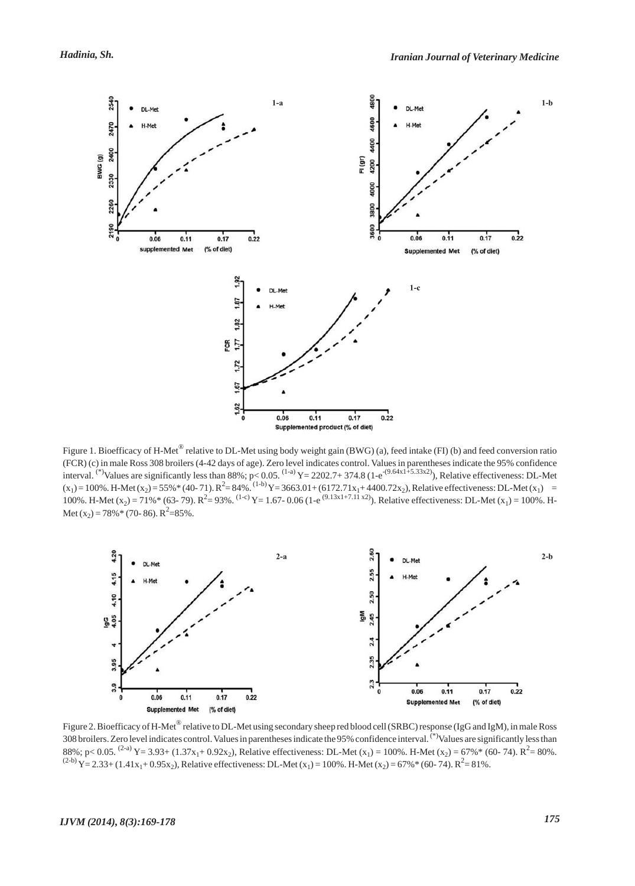

Figure 1. Bioefficacy of H-Met<sup>®</sup> relative to DL-Met using body weight gain (BWG) (a), feed intake (FI) (b) and feed conversion ratio (FCR) (c) in male Ross 308 broilers (4-42 days of age). Zero level indicates control. Values in parentheses indicate the 95% confidence interval. <sup>(\*)</sup>Values are significantly less than 88%; p< 0.05. <sup>(1-a)</sup> Y= 2202.7+ 374.8 (1-e<sup>-(9.64x1+5.33x2)</sup>), Relative effectiveness: DL-Met  $(x_1) = 100\%$ . H-Met  $(x_2) = 55\%*(40-71)$ .  $R^2 = 84\%$ .  $({}^{1-b})$  Y = 3663.01 + (6172.71 $x_1$ + 4400.72 $x_2$ ), Relative effectiveness: DL-Met  $(x_1)$  = 100%. H-Met (x<sub>2</sub>) = 71%\* (63- 79).  $R^2 = 93\%$ . <sup>(1-c)</sup> Y = 1.67- 0.06 (1-e<sup>(9.13x1+7.11 x2)</sup>). Relative effectiveness: DL-Met (x<sub>1</sub>) = 100%. H-Met (x<sub>2</sub>) = 78% \* (70- 86).  $R^2$  = 85%.



Figure 2. Bioefficacy of H-Met<sup>®</sup> relative to DL-Met using secondary sheep red blood cell (SRBC) response (IgG and IgM), in male Ross 308 broilers. Zero level indicates control. Values in parentheses indicate the 95% confidence interval. (\*) Values are significantly less than 88%; p< 0.05.  $^{(2-a)}$  Y = 3.93+ (1.37x<sub>1</sub>+ 0.92x<sub>2</sub>), Relative effectiveness: DL-Met (x<sub>1</sub>) = 100%. H-Met (x<sub>2</sub>) = 67%\* (60- 74). R<sup>2</sup> = 80%.  $(2-b)Y = 2.33 + (1.41x_1 + 0.95x_2)$ , Relative effectiveness: DL-Met (x<sub>1</sub>) = 100%. H-Met (x<sub>2</sub>) = 67% \* (60- 74). R<sup>2</sup> = 81%.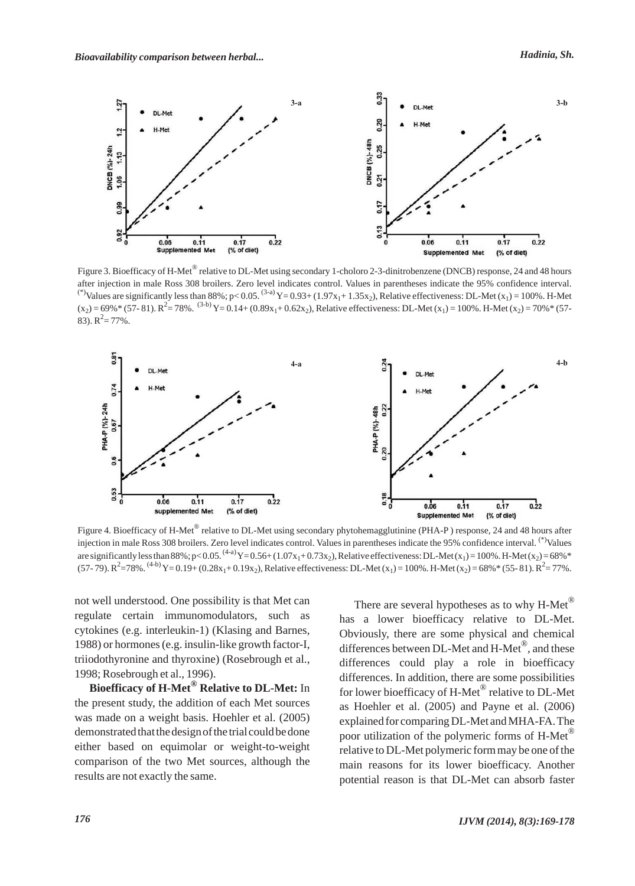

Figure 3. Bioefficacy of H-Met<sup>®</sup> relative to DL-Met using secondary 1-choloro 2-3-dinitrobenzene (DNCB) response, 24 and 48 hours after injection in male Ross 308 broilers. Zero level indicates control. Values in parentheses indicate the 95% confidence interval. <sup>(\*)</sup>Values are significantly less than 88%; p< 0.05. <sup>(3-a)</sup>Y= 0.93+ (1.97x<sub>1</sub>+ 1.35x<sub>2</sub>), Relative effectiveness: DL-Met (x<sub>1</sub>) = 100%. H-Met  $(x_2)$  = 69% \* (57- 81).  $R^2$  = 78%. <sup>(3-b)</sup> Y = 0.14+ (0.89x<sub>1</sub>+ 0.62x<sub>2</sub>), Relative effectiveness: DL-Met (x<sub>1</sub>) = 100%. H-Met (x<sub>2</sub>) = 70% \* (57-83).  $R^2 = 77\%$ .



Figure 4. Bioefficacy of H-Met<sup>®</sup> relative to DL-Met using secondary phytohemagglutinine (PHA-P) response, 24 and 48 hours after injection in male Ross 308 broilers. Zero level indicates control. Values in parentheses indicate the 95% confidence interval. (\*)Values are significantly less than 88%; p<0.05. <sup>(4-a)</sup>Y=0.56+ (1.07x<sub>1</sub>+0.73x<sub>2</sub>), Relative effectiveness: DL-Met (x<sub>1</sub>) = 100%. H-Met (x<sub>2</sub>) = 68%\* (57- 79).  $R^2$  = 78%. <sup>(4-b)</sup> Y = 0.19+ (0.28x<sub>1</sub>+0.19x<sub>2</sub>), Relative effectiveness: DL-Met (x<sub>1</sub>) = 100%. H-Met (x<sub>2</sub>) = 68% \* (55- 81).  $R^2$  = 77%.

not well understood. One possibility is that Met can regulate certain immunomodulators, such as cytokines (e.g. interleukin-1) (Klasing and Barnes, 1988) or hormones (e.g. insulin-like growth factor-I, triiodothyronine and thyroxine) (Rosebrough et al., 1998; Rosebrough et al., 1996).

**Bioefficacy of H-Met® Relative to DL-Met:** In the present study, the addition of each Met sources was made on a weight basis. Hoehler et al. (2005) demonstrated that the design of the trial could be done either based on equimolar or weight-to-weight comparison of the two Met sources, although the results are not exactly the same.

There are several hypotheses as to why H-Met® has a lower bioefficacy relative to DL-Met. Obviously, there are some physical and chemical differences between DL-Met and H-Met®, and these differences could play a role in bioefficacy differences. In addition, there are some possibilities for lower bioefficacy of H-Met® relative to DL-Met as Hoehler et al. (2005) and Payne et al. (2006) explained for comparing DL-Met and MHA-FA. The poor utilization of the polymeric forms of H-Met<sup>®</sup> relative to DL-Met polymeric form may be one of the main reasons for its lower bioefficacy. Another potential reason is that DL-Met can absorb faster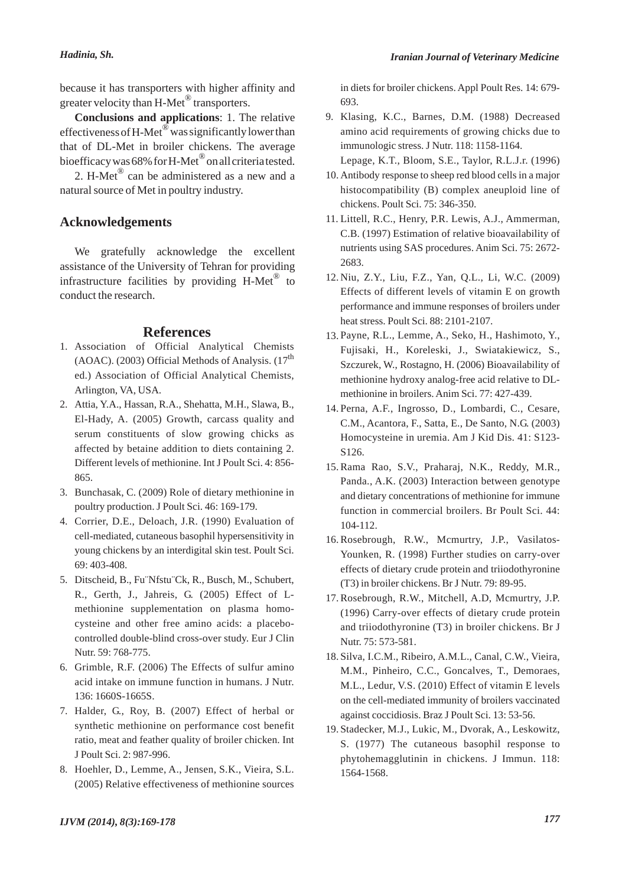because it has transporters with higher affinity and greater velocity than H-Met<sup>®</sup> transporters.

**Conclusions and applications**: 1. The relative effectiveness of H-Met<sup>®</sup> was significantly lower than that of DL-Met in broiler chickens. The average bioefficacy was 68% for H-Met<sup>®</sup> on all criteria tested.

2. H-Met<sup>®</sup> can be administered as a new and a natural source of Met in poultry industry.

#### **Acknowledgements**

We gratefully acknowledge the excellent assistance of the University of Tehran for providing infrastructure facilities by providing  $H-Met^{\circledR}$  to conduct the research.

#### **References**

- Association of Official Analytical Chemists 1. (AOAC). (2003) Official Methods of Analysis.  $(17<sup>th</sup>$ ed.) Association of Official Analytical Chemists, Arlington, VA, USA.
- Attia, Y.A., Hassan, R.A., Shehatta, M.H., Slawa, B., 2. El-Hady, A. (2005) Growth, carcass quality and serum constituents of slow growing chicks as affected by betaine addition to diets containing 2. Different levels of methionine. Int J Poult Sci. 4: 856- 865.
- 3. Bunchasak, C. (2009) Role of dietary methionine in poultry production. J Poult Sci. 46: 169-179.
- 4. Corrier, D.E., Deloach, J.R. (1990) Evaluation of cell-mediated, cutaneous basophil hypersensitivity in young chickens by an interdigital skin test. Poult Sci. 69: 403-408.
- Ditscheid, B., Fu¨Nfstu¨Ck, R., Busch, M., Schubert, 5. R., Gerth, J., Jahreis, G. (2005) Effect of Lmethionine supplementation on plasma homocysteine and other free amino acids: a placebocontrolled double-blind cross-over study. Eur J Clin Nutr. 59: 768-775.
- 6. Grimble, R.F. (2006) The Effects of sulfur amino acid intake on immune function in humans. J Nutr. 136: 1660S-1665S.
- 7. Halder, G., Roy, B. (2007) Effect of herbal or synthetic methionine on performance cost benefit ratio, meat and feather quality of broiler chicken. Int J Poult Sci. 2: 987-996.
- 8. Hoehler, D., Lemme, A., Jensen, S.K., Vieira, S.L. (2005) Relative effectiveness of methionine sources

in diets for broiler chickens. Appl Poult Res. 14: 679- 693.

Klasing, K.C., Barnes, D.M. (1988) Decreased 9. amino acid requirements of growing chicks due to immunologic stress. J Nutr. 118: 1158-1164.

Lepage, K.T., Bloom, S.E., Taylor, R.L.J.r. (1996)

- Antibody response to sheep red blood cells in a major 10. histocompatibility (B) complex aneuploid line of chickens. Poult Sci. 75: 346-350.
- Littell, R.C., Henry, P.R. Lewis, A.J., Ammerman, 11. C.B. (1997) Estimation of relative bioavailability of nutrients using SAS procedures. Anim Sci. 75: 2672- 2683.
- Niu, Z.Y., Liu, F.Z., Yan, Q.L., Li, W.C. (2009) 12. Effects of different levels of vitamin E on growth performance and immune responses of broilers under heat stress. Poult Sci. 88: 2101-2107.
- 13. Payne, R.L., Lemme, A., Seko, H., Hashimoto, Y., Fujisaki, H., Koreleski, J., Swiatakiewicz, S., Szczurek, W., Rostagno, H. (2006) Bioavailability of methionine hydroxy analog-free acid relative to DLmethionine in broilers. Anim Sci. 77: 427-439.
- 14. Perna, A.F., Ingrosso, D., Lombardi, C., Cesare, C.M., Acantora, F., Satta, E., De Santo, N.G. (2003) Homocysteine in uremia. Am J Kid Dis. 41: S123- S126.
- 15. Rama Rao, S.V., Praharaj, N.K., Reddy, M.R., Panda., A.K. (2003) Interaction between genotype and dietary concentrations of methionine for immune function in commercial broilers. Br Poult Sci. 44: 104-112.
- 16. Rosebrough, R.W., Mcmurtry, J.P., Vasilatos-Younken, R. (1998) Further studies on carry-over effects of dietary crude protein and triiodothyronine (T3) in broiler chickens. Br J Nutr. 79: 89-95.
- 17. Rosebrough, R.W., Mitchell, A.D, Mcmurtry, J.P. (1996) Carry-over effects of dietary crude protein and triiodothyronine (T3) in broiler chickens. Br J Nutr. 75: 573-581.
- 18. Silva, I.C.M., Ribeiro, A.M.L., Canal, C.W., Vieira, M.M., Pinheiro, C.C., Goncalves, T., Demoraes, M.L., Ledur, V.S. (2010) Effect of vitamin E levels on the cell-mediated immunity of broilers vaccinated against coccidiosis. Braz J Poult Sci. 13: 53-56.
- 19. Stadecker, M.J., Lukic, M., Dvorak, A., Leskowitz, S. (1977) The cutaneous basophil response to phytohemagglutinin in chickens. J Immun. 118: 1564-1568.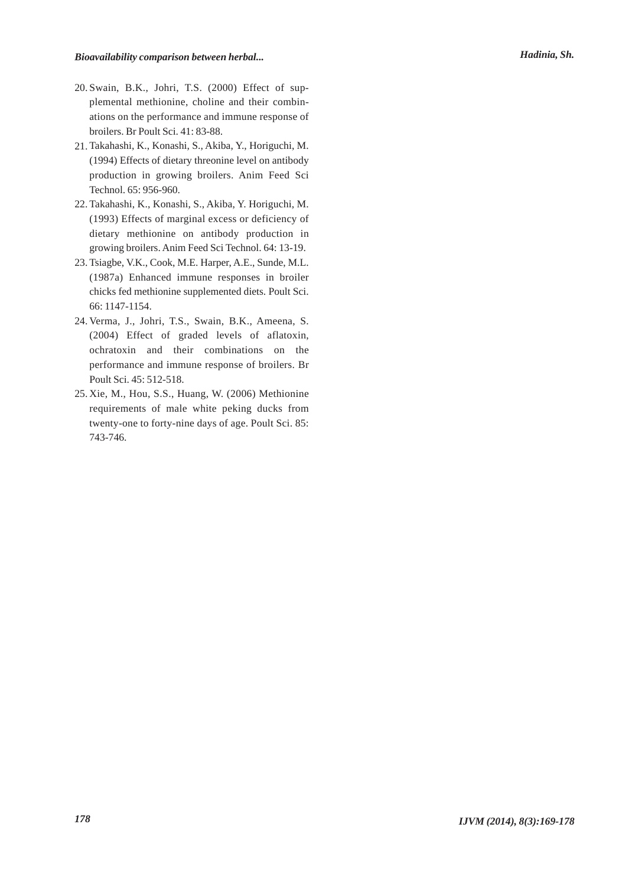- 20. Swain, B.K., Johri, T.S. (2000) Effect of supplemental methionine, choline and their combinations on the performance and immune response of broilers. Br Poult Sci. 41: 83-88.
- 21. Takahashi, K., Konashi, S., Akiba, Y., Horiguchi, M. (1994) Effects of dietary threonine level on antibody production in growing broilers. Anim Feed Sci Technol. 65: 956-960.
- 22. Takahashi, K., Konashi, S., Akiba, Y. Horiguchi, M. (1993) Effects of marginal excess or deficiency of dietary methionine on antibody production in growing broilers. Anim Feed Sci Technol. 64: 13-19.
- 23. Tsiagbe, V.K., Cook, M.E. Harper, A.E., Sunde, M.L. (1987a) Enhanced immune responses in broiler chicks fed methionine supplemented diets. Poult Sci. 66: 1147-1154.
- 24. Verma, J., Johri, T.S., Swain, B.K., Ameena, S. (2004) Effect of graded levels of aflatoxin, ochratoxin and their combinations on the performance and immune response of broilers. Br Poult Sci. 45: 512-518.
- 25. Xie, M., Hou, S.S., Huang, W. (2006) Methionine requirements of male white peking ducks from twenty-one to forty-nine days of age. Poult Sci. 85: 743-746.